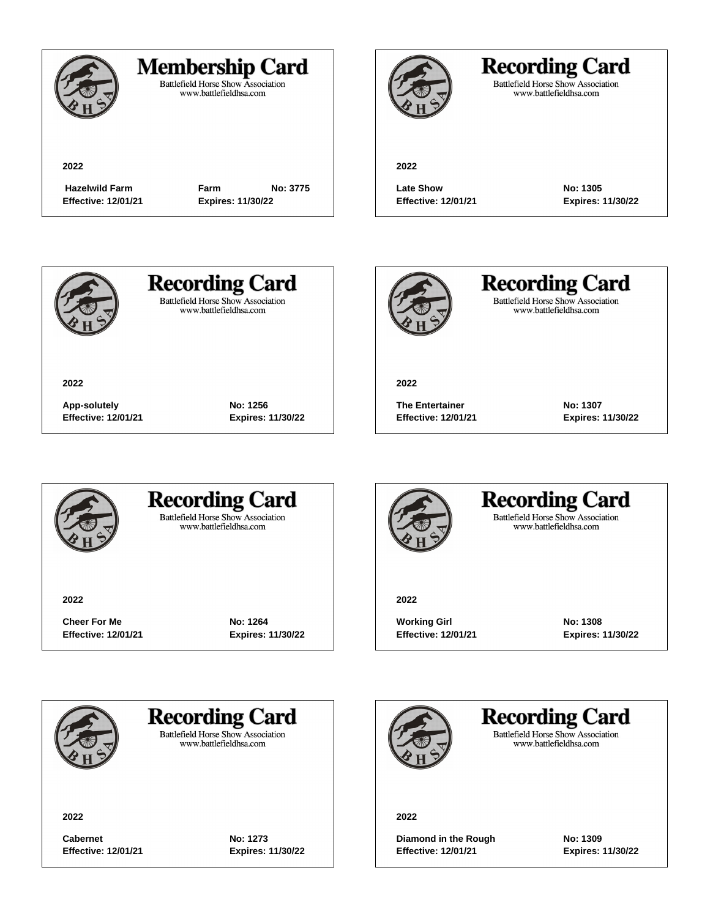

### **Membership Card**

Battlefield Horse Show Association<br>www.battlefieldhsa.com

**2022**

**Effective: 12/01/21 Expires: 11/30/22**

 **Hazelwild Farm Farm No: 3775**



## **Recording Card**

Battlefield Horse Show Association<br>www.battlefieldhsa.com

**2022**

**Late Show No: 1305 Effective: 12/01/21 Expires: 11/30/22**



**2022**

**Recording Card Battlefield Horse Show Association** 

www.battlefieldhsa.com



**Recording Card** Battlefield Horse Show Association<br>www.battlefieldhsa.com

**2022**

**The Entertainer No: 1307 Effective: 12/01/21 Expires: 11/30/22**



### **Recording Card Battlefield Horse Show Association**

**App-solutely No: 1256 Effective: 12/01/21 Expires: 11/30/22**

www.battlefieldhsa.com

**2022**

**Cheer For Me No: 1264 Effective: 12/01/21 Expires: 11/30/22**



### **Recording Card Battlefield Horse Show Association** www.battlefieldhsa.com

**2022**

**Working Girl No: 1308 Effective: 12/01/21 Expires: 11/30/22**

**Recording Card** 

**Battlefield Horse Show Association** www.battlefieldhsa.com

**2022**

**Cabernet No: 1273 Effective: 12/01/21 Expires: 11/30/22**

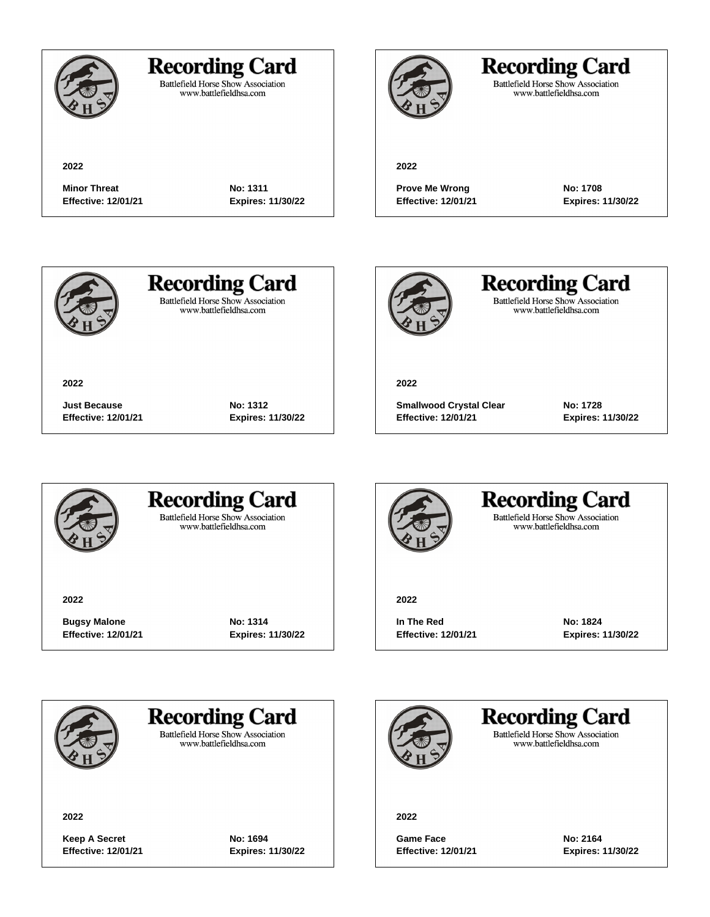

### **Recording Card**

**Minor Threat No: 1311 Effective: 12/01/21 Expires: 11/30/22**

**Just Because No: 1312 Effective: 12/01/21 Expires: 11/30/22**

Battlefield Horse Show Association<br>www.battlefieldhsa.com

## **Recording Card**

Battlefield Horse Show Association<br>www.battlefieldhsa.com

#### **2022**

**Prove Me Wrong No: 1708 Effective: 12/01/21 Expires: 11/30/22**



**2022**

# **Recording Card**

**Battlefield Horse Show Association** www.battlefieldhsa.com



**Recording Card** Battlefield Horse Show Association<br>www.battlefieldhsa.com

**2022**

**Smallwood Crystal Clear No: 1728 Effective: 12/01/21 Expires: 11/30/22**



### **Recording Card Battlefield Horse Show Association**

www.battlefieldhsa.com

**2022**

**Bugsy Malone No: 1314 Effective: 12/01/21 Expires: 11/30/22**



### **Recording Card Battlefield Horse Show Association** www.battlefieldhsa.com

**2022**

**In The Red No: 1824 Effective: 12/01/21 Expires: 11/30/22**



## **Recording Card**

**Battlefield Horse Show Association** www.battlefieldhsa.com

**2022**

**Keep A Secret No: 1694 Effective: 12/01/21 Expires: 11/30/22**

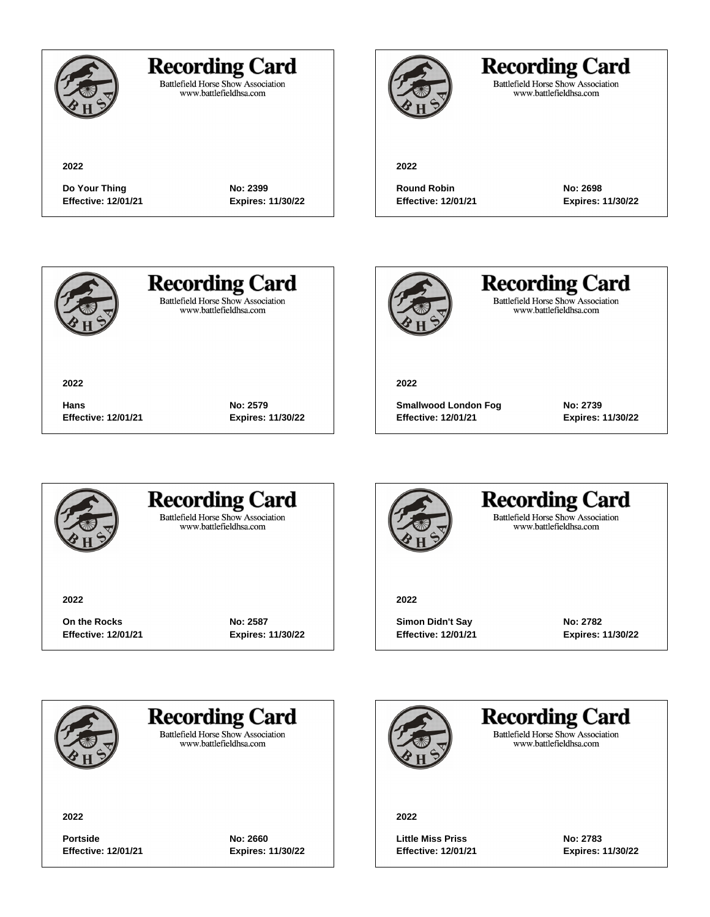

### **Recording Card**

Battlefield Horse Show Association<br>www.battlefieldhsa.com

## **Recording Card**

Battlefield Horse Show Association<br>www.battlefieldhsa.com

**2022**

**Do Your Thing**  No: 2399 **Effective: 12/01/21 Expires: 11/30/22**

**Round Robin No: 2698**

**2022**

**Effective: 12/01/21 Expires: 11/30/22**



**2022**

**Recording Card Battlefield Horse Show Association** 

www.battlefieldhsa.com



**Recording Card** Battlefield Horse Show Association<br>www.battlefieldhsa.com

**2022**

**Smallwood London Fog No: 2739 Effective: 12/01/21 Expires: 11/30/22**



### **Recording Card Battlefield Horse Show Association**

**Hans No: 2579**

**Effective: 12/01/21 Expires: 11/30/22**

www.battlefieldhsa.com

**2022**

**On the Rocks No: 2587 Effective: 12/01/21 Expires: 11/30/22**



### **Recording Card Battlefield Horse Show Association**

www.battlefieldhsa.com

**2022**

**Simon Didn't Say <b>No: 2782 Effective: 12/01/21 Expires: 11/30/22**



**Recording Card** 

**Battlefield Horse Show Association** www.battlefieldhsa.com

**2022**

**Portside No: 2660 Effective: 12/01/21 Expires: 11/30/22**

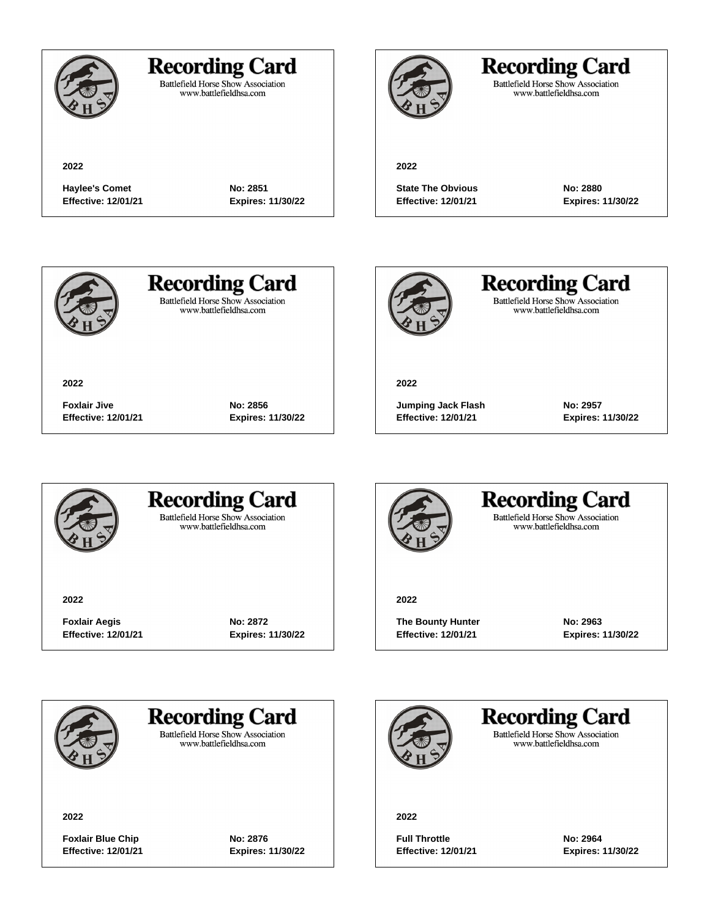

## **Recording Card**

Battlefield Horse Show Association<br>www.battlefieldhsa.com

**Haylee's Comet No: 2851 Effective: 12/01/21 Expires: 11/30/22**

**Foxlair Jive No: 2856**

**Effective: 12/01/21 Expires: 11/30/22**



## **Recording Card**

Battlefield Horse Show Association<br>www.battlefieldhsa.com

#### **2022**

**State The Obvious No: 2880 Effective: 12/01/21 Expires: 11/30/22**



**2022**

# **Recording Card**

**Battlefield Horse Show Association** www.battlefieldhsa.com



**Recording Card** Battlefield Horse Show Association<br>www.battlefieldhsa.com

**2022**

**Jumping Jack Flash No: 2957 Effective: 12/01/21 Expires: 11/30/22**



### **Recording Card Battlefield Horse Show Association**

www.battlefieldhsa.com

**2022**

**Foxlair Aegis No: 2872 Effective: 12/01/21 Expires: 11/30/22**



### **Recording Card Battlefield Horse Show Association**

www.battlefieldhsa.com

**2022**

**The Bounty Hunter No: 2963 Effective: 12/01/21 Expires: 11/30/22**



**Recording Card** 

**Battlefield Horse Show Association** www.battlefieldhsa.com

**2022**

**Foxlair Blue Chip No: 2876 Effective: 12/01/21 Expires: 11/30/22**

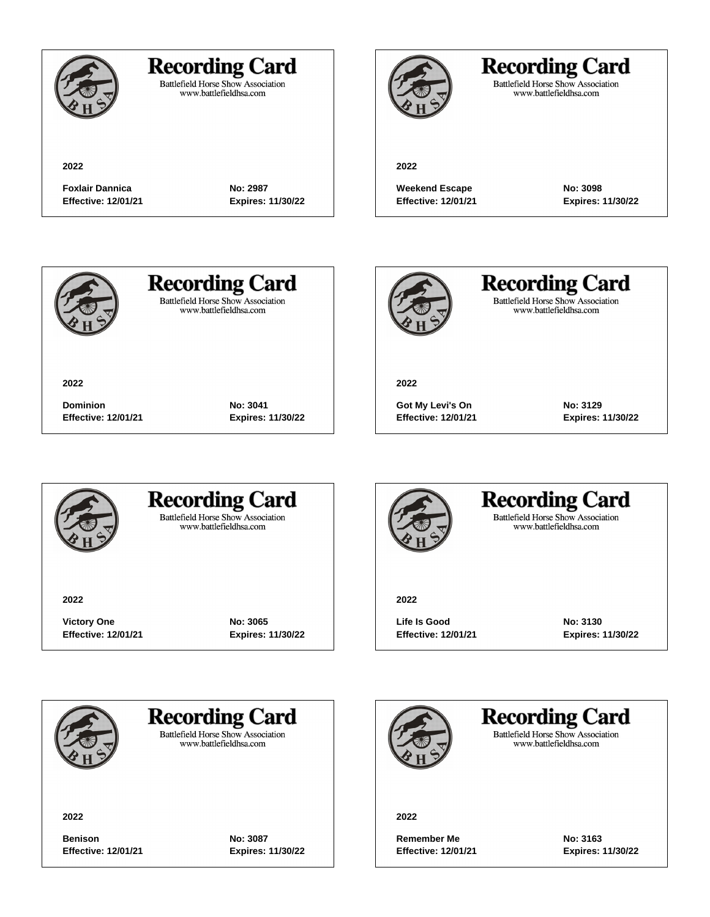

### **Recording Card**

Battlefield Horse Show Association<br>www.battlefieldhsa.com

**Foxlair Dannica No: 2987 Effective: 12/01/21 Expires: 11/30/22**

**Dominion No: 3041**

**Effective: 12/01/21 Expires: 11/30/22**



## **Recording Card**

Battlefield Horse Show Association<br>www.battlefieldhsa.com

#### **2022**

**Weekend Escape No: 3098 Effective: 12/01/21 Expires: 11/30/22**



**2022**

# **Recording Card**

**Battlefield Horse Show Association** www.battlefieldhsa.com



**Recording Card** Battlefield Horse Show Association<br>www.battlefieldhsa.com

**2022**

**Got My Levi's On No: 3129 Effective: 12/01/21 Expires: 11/30/22**



### **Recording Card Battlefield Horse Show Association**

www.battlefieldhsa.com

**2022**

**Victory One No: 3065 Effective: 12/01/21 Expires: 11/30/22**



### **Recording Card Battlefield Horse Show Association** www.battlefieldhsa.com

#### **2022**

**Life Is Good No: 3130 Effective: 12/01/21 Expires: 11/30/22**



## **Recording Card**

**Battlefield Horse Show Association** www.battlefieldhsa.com

**2022**

**Benison No: 3087 Effective: 12/01/21 Expires: 11/30/22**

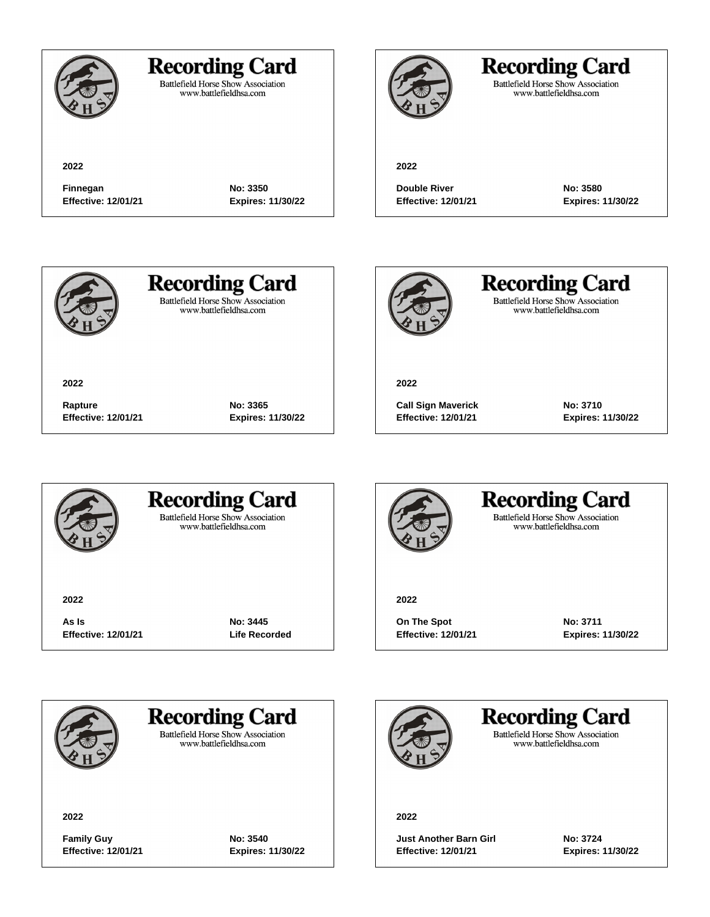

### **Recording Card**

**Finnegan No: 3350 Effective: 12/01/21 Expires: 11/30/22**

**Rapture No: 3365**

**Effective: 12/01/21 Expires: 11/30/22**

Battlefield Horse Show Association<br>www.battlefieldhsa.com

## **Recording Card**

Battlefield Horse Show Association<br>www.battlefieldhsa.com

#### **2022**

**Double River No: 3580 Effective: 12/01/21 Expires: 11/30/22**



**2022**

# **Recording Card**

**Battlefield Horse Show Association** www.battlefieldhsa.com



**Recording Card** Battlefield Horse Show Association<br>www.battlefieldhsa.com

**2022**

**Call Sign Maverick No: 3710 Effective: 12/01/21 Expires: 11/30/22**



### **Recording Card Battlefield Horse Show Association**

www.battlefieldhsa.com

**2022**

**As Is No: 3445 Effective: 12/01/21 Life Recorded**



### **Recording Card Battlefield Horse Show Association** www.battlefieldhsa.com

**2022**

**On The Spot No: 3711 Effective: 12/01/21 Expires: 11/30/22**



**Recording Card** 

**Battlefield Horse Show Association** www.battlefieldhsa.com

**2022**

**Family Guy No: 3540 Effective: 12/01/21 Expires: 11/30/22**